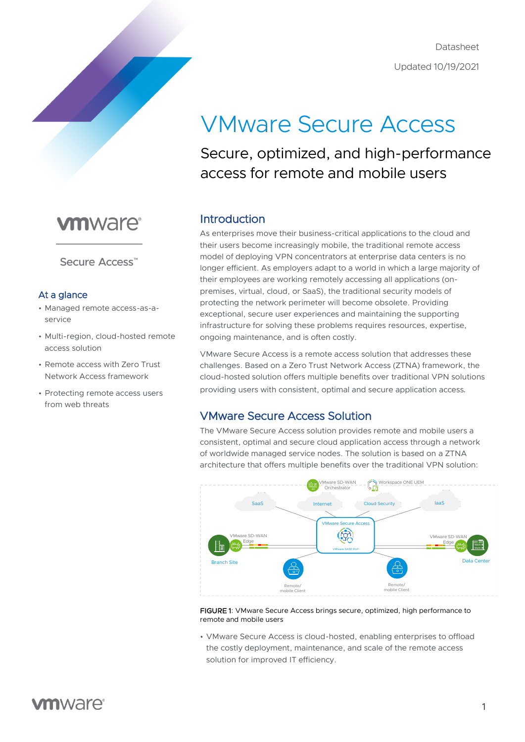

# VMware Secure Access

### Secure, optimized, and high-performance access for remote and mobile users

## **vm**ware<sup>®</sup>

Secure Access<sup>"</sup>

#### At a glance

- Managed remote access-as-aservice
- Multi-region, cloud-hosted remote access solution
- Remote access with Zero Trust Network Access framework
- Protecting remote access users from web threats

### Introduction

As enterprises move their business-critical applications to the cloud and their users become increasingly mobile, the traditional remote access model of deploying VPN concentrators at enterprise data centers is no longer efficient. As employers adapt to a world in which a large majority of their employees are working remotely accessing all applications (onpremises, virtual, cloud, or SaaS), the traditional security models of protecting the network perimeter will become obsolete. Providing exceptional, secure user experiences and maintaining the supporting infrastructure for solving these problems requires resources, expertise, ongoing maintenance, and is often costly.

VMware Secure Access is a remote access solution that addresses these challenges. Based on a Zero Trust Network Access (ZTNA) framework, the cloud-hosted solution offers multiple benefits over traditional VPN solutions providing users with consistent, optimal and secure application access.

### VMware Secure Access Solution

The VMware Secure Access solution provides remote and mobile users a consistent, optimal and secure cloud application access through a network of worldwide managed service nodes. The solution is based on a ZTNA architecture that offers multiple benefits over the traditional VPN solution:



FIGURE 1: VMware Secure Access brings secure, optimized, high performance to remote and mobile users

• VMware Secure Access is cloud-hosted, enabling enterprises to offload the costly deployment, maintenance, and scale of the remote access solution for improved IT efficiency.

### **vm**ware<sup>®</sup>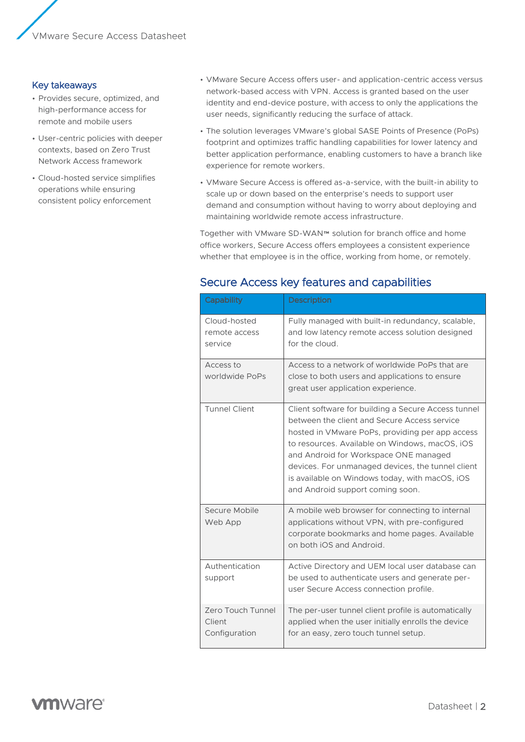#### Key takeaways

- Provides secure, optimized, and high-performance access for remote and mobile users
- User-centric policies with deeper contexts, based on Zero Trust Network Access framework
- Cloud-hosted service simplifies operations while ensuring consistent policy enforcement
- VMware Secure Access offers user- and application-centric access versus network-based access with VPN. Access is granted based on the user identity and end-device posture, with access to only the applications the user needs, significantly reducing the surface of attack.
- The solution leverages VMware's global SASE Points of Presence (PoPs) footprint and optimizes traffic handling capabilities for lower latency and better application performance, enabling customers to have a branch like experience for remote workers.
- VMware Secure Access is offered as-a-service, with the built-in ability to scale up or down based on the enterprise's needs to support user demand and consumption without having to worry about deploying and maintaining worldwide remote access infrastructure.

Together with VMware SD-WAN™ solution for branch office and home office workers, Secure Access offers employees a consistent experience whether that employee is in the office, working from home, or remotely.

| Capability                                   | <b>Description</b>                                                                                                                                                                                                                                                                                                                                                                           |
|----------------------------------------------|----------------------------------------------------------------------------------------------------------------------------------------------------------------------------------------------------------------------------------------------------------------------------------------------------------------------------------------------------------------------------------------------|
| Cloud-hosted<br>remote access<br>service     | Fully managed with built-in redundancy, scalable,<br>and low latency remote access solution designed<br>for the cloud.                                                                                                                                                                                                                                                                       |
| Access to<br>worldwide PoPs                  | Access to a network of worldwide PoPs that are<br>close to both users and applications to ensure<br>great user application experience.                                                                                                                                                                                                                                                       |
| <b>Tunnel Client</b>                         | Client software for building a Secure Access tunnel<br>between the client and Secure Access service<br>hosted in VMware PoPs, providing per app access<br>to resources. Available on Windows, macOS, iOS<br>and Android for Workspace ONE managed<br>devices. For unmanaged devices, the tunnel client<br>is available on Windows today, with macOS, iOS<br>and Android support coming soon. |
| Secure Mobile<br>Web App                     | A mobile web browser for connecting to internal<br>applications without VPN, with pre-configured<br>corporate bookmarks and home pages. Available<br>on both iOS and Android.                                                                                                                                                                                                                |
| Authentication<br>support                    | Active Directory and UEM local user database can<br>be used to authenticate users and generate per-<br>user Secure Access connection profile.                                                                                                                                                                                                                                                |
| Zero Touch Tunnel<br>Client<br>Configuration | The per-user tunnel client profile is automatically<br>applied when the user initially enrolls the device<br>for an easy, zero touch tunnel setup.                                                                                                                                                                                                                                           |

### Secure Access key features and capabilities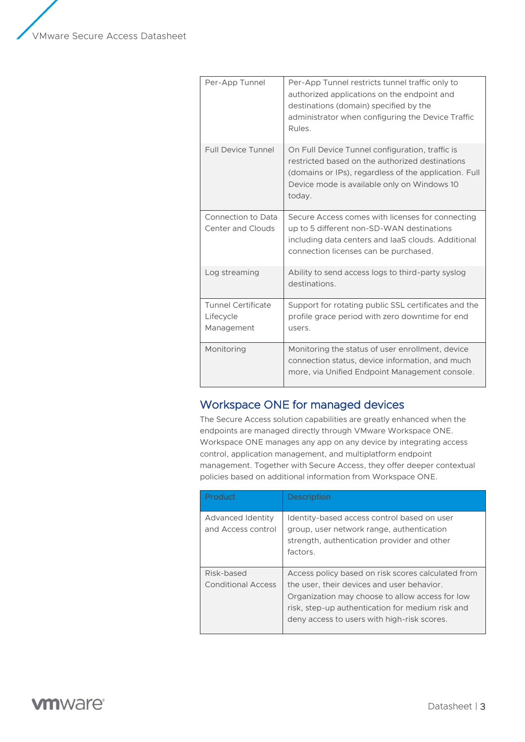VMware Secure Access Datasheet

| Per-App Tunnel                                       | Per-App Tunnel restricts tunnel traffic only to<br>authorized applications on the endpoint and<br>destinations (domain) specified by the<br>administrator when configuring the Device Traffic<br>Rules.              |
|------------------------------------------------------|----------------------------------------------------------------------------------------------------------------------------------------------------------------------------------------------------------------------|
| <b>Full Device Tunnel</b>                            | On Full Device Tunnel configuration, traffic is<br>restricted based on the authorized destinations<br>(domains or IPs), regardless of the application. Full<br>Device mode is available only on Windows 10<br>today. |
| Connection to Data<br><b>Center and Clouds</b>       | Secure Access comes with licenses for connecting<br>up to 5 different non-SD-WAN destinations<br>including data centers and laaS clouds. Additional<br>connection licenses can be purchased.                         |
| Log streaming                                        | Ability to send access logs to third-party syslog<br>destinations.                                                                                                                                                   |
| <b>Tunnel Certificate</b><br>Lifecycle<br>Management | Support for rotating public SSL certificates and the<br>profile grace period with zero downtime for end<br>users.                                                                                                    |
| Monitoring                                           | Monitoring the status of user enrollment, device<br>connection status, device information, and much<br>more, via Unified Endpoint Management console.                                                                |

### Workspace ONE for managed devices

The Secure Access solution capabilities are greatly enhanced when the endpoints are managed directly through VMware Workspace ONE. Workspace ONE manages any app on any device by integrating access control, application management, and multiplatform endpoint management. Together with Secure Access, they offer deeper contextual policies based on additional information from Workspace ONE.

| Product                                 | <b>Description</b>                                                                                                                                                                                                                                     |
|-----------------------------------------|--------------------------------------------------------------------------------------------------------------------------------------------------------------------------------------------------------------------------------------------------------|
| Advanced Identity<br>and Access control | Identity-based access control based on user<br>group, user network range, authentication<br>strength, authentication provider and other<br>factors.                                                                                                    |
| Risk-based<br>Conditional Access        | Access policy based on risk scores calculated from<br>the user, their devices and user behavior.<br>Organization may choose to allow access for low<br>risk, step-up authentication for medium risk and<br>deny access to users with high-risk scores. |